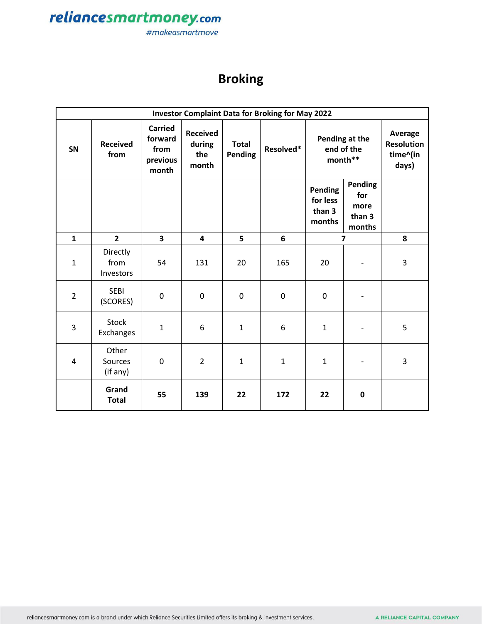

## **Broking**

| <b>Investor Complaint Data for Broking for May 2022</b> |                               |                                                        |                                           |                         |              |                                         |                                            |                                                   |
|---------------------------------------------------------|-------------------------------|--------------------------------------------------------|-------------------------------------------|-------------------------|--------------|-----------------------------------------|--------------------------------------------|---------------------------------------------------|
| SN                                                      | <b>Received</b><br>from       | <b>Carried</b><br>forward<br>from<br>previous<br>month | <b>Received</b><br>during<br>the<br>month | <b>Total</b><br>Pending | Resolved*    | Pending at the<br>end of the<br>month** |                                            | Average<br><b>Resolution</b><br>time^(in<br>days) |
|                                                         |                               |                                                        |                                           |                         |              | Pending<br>for less<br>than 3<br>months | Pending<br>for<br>more<br>than 3<br>months |                                                   |
| $\mathbf{1}$                                            | $\overline{2}$                | $\overline{\mathbf{3}}$                                | $\overline{\mathbf{4}}$                   | 5                       | 6            | $\overline{7}$                          |                                            | 8                                                 |
| $\mathbf{1}$                                            | Directly<br>from<br>Investors | 54                                                     | 131                                       | 20                      | 165          | 20                                      |                                            | 3                                                 |
| $\overline{2}$                                          | <b>SEBI</b><br>(SCORES)       | $\mathbf 0$                                            | $\mathbf 0$                               | $\boldsymbol{0}$        | $\mathbf 0$  | $\mathbf 0$                             | $\qquad \qquad \blacksquare$               |                                                   |
| 3                                                       | <b>Stock</b><br>Exchanges     | $\mathbf{1}$                                           | 6                                         | $\mathbf{1}$            | 6            | $\mathbf 1$                             |                                            | 5                                                 |
| 4                                                       | Other<br>Sources<br>(if any)  | 0                                                      | $\overline{2}$                            | 1                       | $\mathbf{1}$ | $\mathbf{1}$                            | $\overline{\phantom{a}}$                   | 3                                                 |
|                                                         | Grand<br><b>Total</b>         | 55                                                     | 139                                       | 22                      | 172          | 22                                      | $\mathbf 0$                                |                                                   |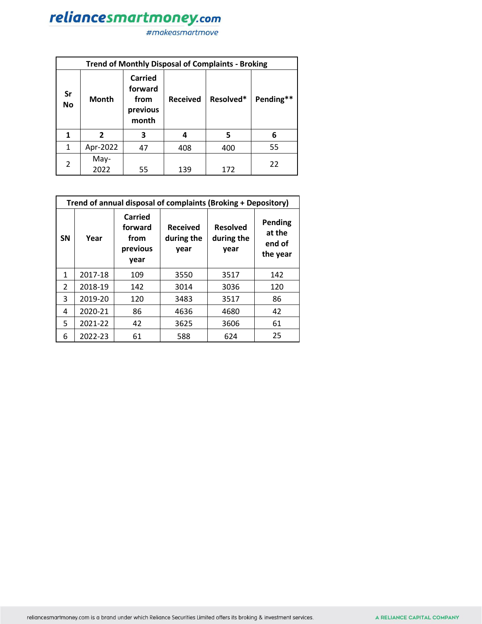|                | <b>Trend of Monthly Disposal of Complaints - Broking</b>        |    |                 |           |           |  |  |  |
|----------------|-----------------------------------------------------------------|----|-----------------|-----------|-----------|--|--|--|
| Sr<br>No       | Carried<br>forward<br><b>Month</b><br>from<br>previous<br>month |    | <b>Received</b> | Resolved* | Pending** |  |  |  |
| 1              | 2                                                               | 3  | 4               | 5         | 6         |  |  |  |
| $\mathbf{1}$   | Apr-2022                                                        | 47 | 408             | 400       | 55        |  |  |  |
| $\mathfrak{p}$ | May-<br>2022                                                    | 55 | 139             | 172       | 22        |  |  |  |

|                | Trend of annual disposal of complaints (Broking + Depository) |                                                |                                       |                                       |                                                |  |  |  |
|----------------|---------------------------------------------------------------|------------------------------------------------|---------------------------------------|---------------------------------------|------------------------------------------------|--|--|--|
| <b>SN</b>      | Year                                                          | Carried<br>forward<br>from<br>previous<br>year | <b>Received</b><br>during the<br>year | <b>Resolved</b><br>during the<br>year | <b>Pending</b><br>at the<br>end of<br>the year |  |  |  |
| 1              | 2017-18                                                       | 109                                            | 3550                                  | 3517                                  | 142                                            |  |  |  |
| $\overline{2}$ | 2018-19                                                       | 142                                            | 3014                                  | 3036                                  | 120                                            |  |  |  |
| 3              | 2019-20                                                       | 120                                            | 3483                                  | 3517                                  | 86                                             |  |  |  |
| 4              | 2020-21                                                       | 86                                             | 4636                                  | 4680                                  | 42                                             |  |  |  |
| 5              | 2021-22                                                       | 42                                             | 3625                                  | 3606                                  | 61                                             |  |  |  |
| 6              | 2022-23                                                       | 61                                             | 588                                   | 624                                   | 25                                             |  |  |  |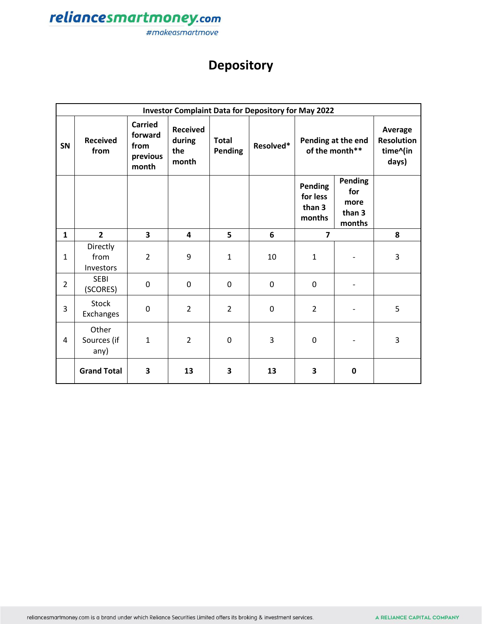

## **Depository**

|                | <b>Investor Complaint Data for Depository for May 2022</b> |                                                        |                                           |                         |           |                                         |                                            |                                                   |  |
|----------------|------------------------------------------------------------|--------------------------------------------------------|-------------------------------------------|-------------------------|-----------|-----------------------------------------|--------------------------------------------|---------------------------------------------------|--|
| SN             | <b>Received</b><br>from                                    | <b>Carried</b><br>forward<br>from<br>previous<br>month | <b>Received</b><br>during<br>the<br>month | <b>Total</b><br>Pending | Resolved* | Pending at the end<br>of the month**    |                                            | Average<br><b>Resolution</b><br>time^(in<br>days) |  |
|                |                                                            |                                                        |                                           |                         |           | Pending<br>for less<br>than 3<br>months | Pending<br>for<br>more<br>than 3<br>months |                                                   |  |
| $\mathbf{1}$   | $\overline{2}$                                             | 3                                                      | 4                                         | 5                       | 6         | $\overline{7}$                          |                                            | 8                                                 |  |
| $\mathbf{1}$   | Directly<br>from<br>Investors                              | $\overline{2}$                                         | 9                                         | $\mathbf{1}$            | 10        | $\mathbf{1}$                            |                                            | 3                                                 |  |
| $\overline{2}$ | <b>SEBI</b><br>(SCORES)                                    | $\mathbf 0$                                            | $\mathbf 0$                               | $\overline{0}$          | $\pmb{0}$ | $\mathbf 0$                             |                                            |                                                   |  |
| 3              | Stock<br>Exchanges                                         | 0                                                      | $\overline{2}$                            | $\overline{2}$          | 0         | $\overline{2}$                          |                                            | 5                                                 |  |
| 4              | Other<br>Sources (if<br>any)                               | $\mathbf{1}$                                           | $\overline{2}$                            | $\mathbf 0$             | 3         | $\mathbf 0$                             |                                            | 3                                                 |  |
|                | <b>Grand Total</b>                                         | 3                                                      | 13                                        | 3                       | 13        | 3                                       | 0                                          |                                                   |  |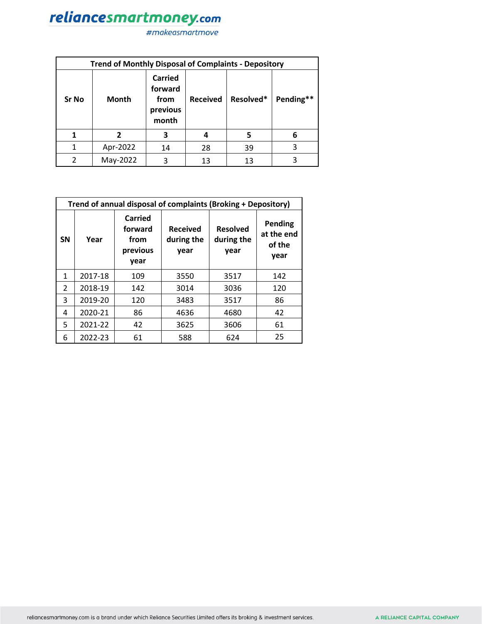| <b>Trend of Monthly Disposal of Complaints - Depository</b> |          |    |                                                                           |    |           |  |  |
|-------------------------------------------------------------|----------|----|---------------------------------------------------------------------------|----|-----------|--|--|
| <b>Sr No</b>                                                | Month    |    | <b>Carried</b><br>forward<br><b>Received</b><br>from<br>previous<br>month |    | Pending** |  |  |
|                                                             | 2        | З  | 4                                                                         | 5  | 6         |  |  |
| 1                                                           | Apr-2022 | 14 | 28                                                                        | 39 | 3         |  |  |
|                                                             | May-2022 | ੨  | 13                                                                        | 13 | 3         |  |  |

|                | Trend of annual disposal of complaints (Broking + Depository) |                                                |                                       |                                       |                                                |  |  |  |
|----------------|---------------------------------------------------------------|------------------------------------------------|---------------------------------------|---------------------------------------|------------------------------------------------|--|--|--|
| <b>SN</b>      | Year                                                          | Carried<br>forward<br>from<br>previous<br>year | <b>Received</b><br>during the<br>year | <b>Resolved</b><br>during the<br>year | <b>Pending</b><br>at the end<br>of the<br>year |  |  |  |
| $\mathbf{1}$   | 2017-18                                                       | 109                                            | 3550                                  | 3517                                  | 142                                            |  |  |  |
| $\overline{2}$ | 2018-19                                                       | 142                                            | 3014                                  | 3036                                  | 120                                            |  |  |  |
| 3              | 2019-20                                                       | 120                                            | 3483                                  | 3517                                  | 86                                             |  |  |  |
| 4              | 2020-21                                                       | 86                                             | 4636                                  | 4680                                  | 42                                             |  |  |  |
| 5.             | 2021-22                                                       | 42                                             | 3625                                  | 3606                                  | 61                                             |  |  |  |
| 6              | 2022-23                                                       | 61                                             | 588                                   | 624                                   | 25                                             |  |  |  |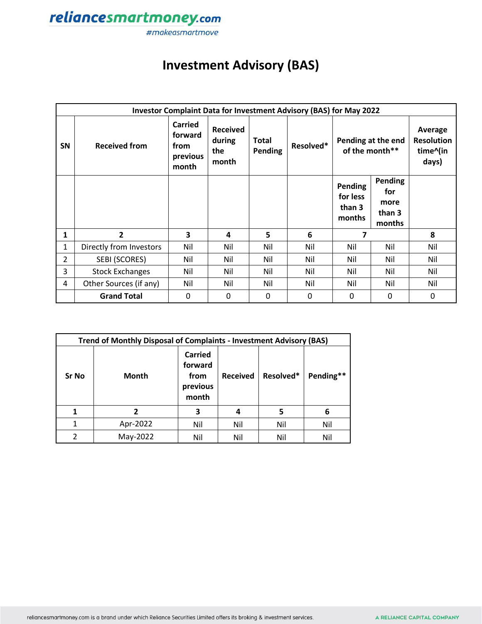

## **Investment Advisory (BAS)**

|                | Investor Complaint Data for Investment Advisory (BAS) for May 2022 |                                                        |                                           |                                |           |                                         |                                                   |     |  |
|----------------|--------------------------------------------------------------------|--------------------------------------------------------|-------------------------------------------|--------------------------------|-----------|-----------------------------------------|---------------------------------------------------|-----|--|
| SN             | <b>Received from</b>                                               | <b>Carried</b><br>forward<br>from<br>previous<br>month | <b>Received</b><br>during<br>the<br>month | <b>Total</b><br><b>Pending</b> | Resolved* | Pending at the end<br>of the month**    | Average<br><b>Resolution</b><br>time^(in<br>days) |     |  |
|                |                                                                    |                                                        |                                           |                                |           | Pending<br>for less<br>than 3<br>months | <b>Pending</b><br>for<br>more<br>than 3<br>months |     |  |
| 1              | 2                                                                  | 3                                                      | 4                                         | 5                              | 6         | 7                                       |                                                   | 8   |  |
| 1              | Directly from Investors                                            | Nil                                                    | Nil                                       | Nil                            | Nil       | Nil                                     | Nil                                               | Nil |  |
| $\overline{2}$ | SEBI (SCORES)                                                      | Nil                                                    | Nil                                       | Nil                            | Nil       | Nil                                     | Nil                                               | Nil |  |
| 3              | <b>Stock Exchanges</b>                                             | Nil                                                    | Nil                                       | Nil                            | Nil       | Nil                                     | Nil                                               | Nil |  |
| 4              | Other Sources (if any)                                             | Nil                                                    | Nil                                       | Nil                            | Nil       | Nil                                     | Nil                                               | Nil |  |
|                | <b>Grand Total</b>                                                 | 0                                                      | 0                                         | $\mathbf{0}$                   | $\Omega$  | 0                                       | 0                                                 | 0   |  |

|                | Trend of Monthly Disposal of Complaints - Investment Advisory (BAS) |                                                        |                 |           |           |  |  |  |
|----------------|---------------------------------------------------------------------|--------------------------------------------------------|-----------------|-----------|-----------|--|--|--|
| Sr No          | <b>Month</b>                                                        | <b>Carried</b><br>forward<br>from<br>previous<br>month | <b>Received</b> | Resolved* | Pending** |  |  |  |
| 1              | 2                                                                   | 3                                                      | 4               | 5         | 6         |  |  |  |
| $\mathbf{1}$   | Apr-2022                                                            | Nil                                                    | Nil             | Nil       | Nil       |  |  |  |
| $\mathfrak{p}$ | May-2022                                                            | Nil                                                    | Nil             | Nil       | Nil       |  |  |  |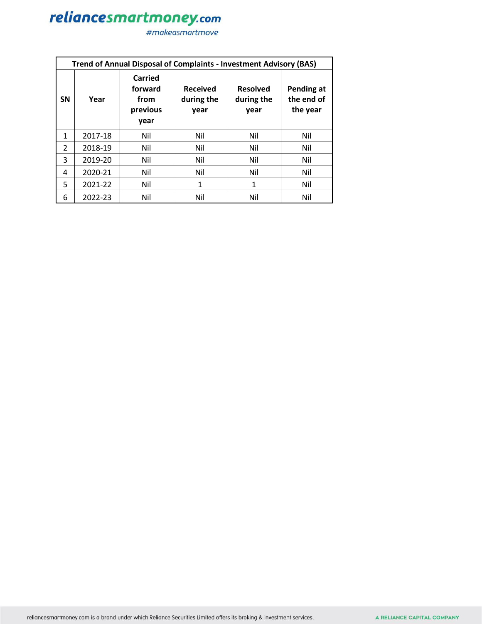|               | <b>Trend of Annual Disposal of Complaints - Investment Advisory (BAS)</b> |                                                |                                       |                                       |                                      |  |  |  |
|---------------|---------------------------------------------------------------------------|------------------------------------------------|---------------------------------------|---------------------------------------|--------------------------------------|--|--|--|
| <b>SN</b>     | Year                                                                      | Carried<br>forward<br>from<br>previous<br>year | <b>Received</b><br>during the<br>year | <b>Resolved</b><br>during the<br>year | Pending at<br>the end of<br>the year |  |  |  |
| $\mathbf{1}$  | 2017-18                                                                   | Nil                                            | Nil                                   | Nil                                   | Nil                                  |  |  |  |
| $\mathcal{P}$ | 2018-19                                                                   | Nil                                            | Nil                                   | Nil                                   | Nil                                  |  |  |  |
| 3             | 2019-20                                                                   | Nil                                            | Nil                                   | Nil                                   | Nil                                  |  |  |  |
| 4             | 2020-21                                                                   | Nil                                            | Nil                                   | Nil                                   | Nil                                  |  |  |  |
| 5             | 2021-22                                                                   | Nil                                            | 1                                     | 1                                     | Nil                                  |  |  |  |
| 6             | 2022-23                                                                   | Nil                                            | Nil                                   | Nil                                   | Nil                                  |  |  |  |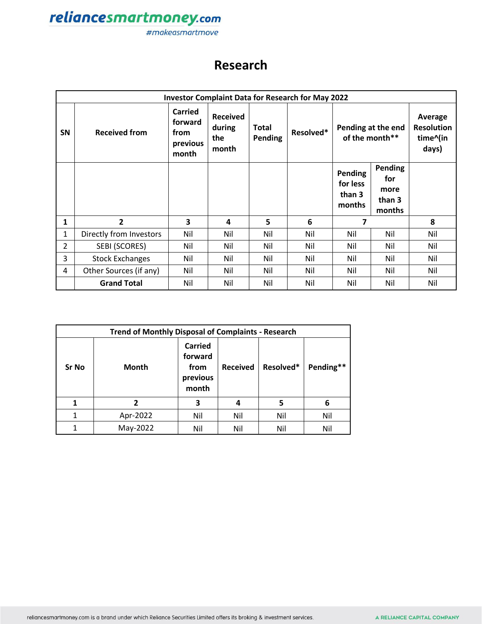

### **Research**

|                | <b>Investor Complaint Data for Research for May 2022</b> |                                                        |                                           |                                |           |                                         |                                                   |                                                   |  |
|----------------|----------------------------------------------------------|--------------------------------------------------------|-------------------------------------------|--------------------------------|-----------|-----------------------------------------|---------------------------------------------------|---------------------------------------------------|--|
| <b>SN</b>      | <b>Received from</b>                                     | <b>Carried</b><br>forward<br>from<br>previous<br>month | <b>Received</b><br>during<br>the<br>month | <b>Total</b><br><b>Pending</b> | Resolved* | Pending at the end<br>of the month**    |                                                   | Average<br><b>Resolution</b><br>time^(in<br>days) |  |
|                |                                                          |                                                        |                                           |                                |           | Pending<br>for less<br>than 3<br>months | <b>Pending</b><br>for<br>more<br>than 3<br>months |                                                   |  |
| 1              | $\overline{2}$                                           | 3                                                      | 4                                         | 5                              | 6         | 7                                       |                                                   | 8                                                 |  |
| $\mathbf{1}$   | Directly from Investors                                  | Nil                                                    | Nil                                       | Nil                            | Nil       | Nil                                     | Nil                                               | Nil                                               |  |
| $\overline{2}$ | SEBI (SCORES)                                            | Nil                                                    | Nil                                       | Nil                            | Nil       | Nil                                     | Nil                                               | Nil                                               |  |
| 3              | <b>Stock Exchanges</b>                                   | Nil                                                    | Nil                                       | Nil                            | Nil       | Nil                                     | Nil                                               | Nil                                               |  |
| 4              | Other Sources (if any)                                   | Nil                                                    | Nil                                       | Nil                            | Nil       | Nil                                     | Nil                                               | Nil                                               |  |
|                | <b>Grand Total</b>                                       | Nil                                                    | Nil                                       | Nil                            | Nil       | Nil                                     | Nil                                               | Nil                                               |  |

| <b>Trend of Monthly Disposal of Complaints - Research</b> |              |                                                        |                 |           |           |  |  |
|-----------------------------------------------------------|--------------|--------------------------------------------------------|-----------------|-----------|-----------|--|--|
| Sr No                                                     | <b>Month</b> | <b>Carried</b><br>forward<br>from<br>previous<br>month | <b>Received</b> | Resolved* | Pending** |  |  |
| 1                                                         | 2            | 3                                                      | 4               | 5         | 6         |  |  |
| 1                                                         | Apr-2022     | Nil                                                    | Nil             | Nil       | Nil       |  |  |
| 1                                                         | May-2022     | Nil                                                    | Nil             | Nil       | Nil       |  |  |